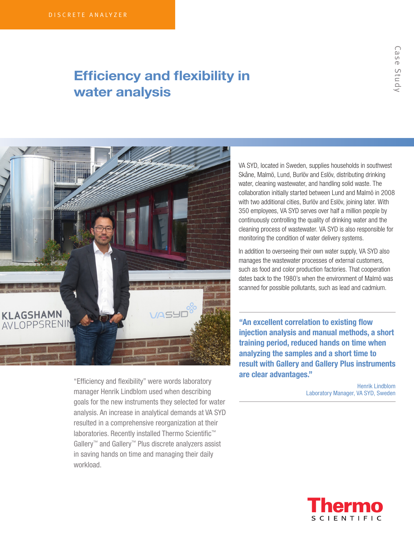# Efficiency and flexibility in water analysis



"Efficiency and flexibility" were words laboratory manager Henrik Lindblom used when describing goals for the new instruments they selected for water analysis. An increase in analytical demands at VA SYD resulted in a comprehensive reorganization at their laboratories. Recently installed Thermo Scientific™ Gallery™ and Gallery™ Plus discrete analyzers assist in saving hands on time and managing their daily workload.

VA SYD, located in Sweden, supplies households in southwest Skåne, Malmö, Lund, Burlöv and Eslöv, distributing drinking water, cleaning wastewater, and handling solid waste. The collaboration initially started between Lund and Malmö in 2008 with two additional cities, Burlöv and Eslöv, joining later. With 350 employees, VA SYD serves over half a million people by continuously controlling the quality of drinking water and the cleaning process of wastewater. VA SYD is also responsible for monitoring the condition of water delivery systems.

In addition to overseeing their own water supply, VA SYD also manages the wastewater processes of external customers, such as food and color production factories. That cooperation dates back to the 1980's when the environment of Malmö was scanned for possible pollutants, such as lead and cadmium.

"An excellent correlation to existing flow injection analysis and manual methods, a short training period, reduced hands on time when analyzing the samples and a short time to result with Gallery and Gallery Plus instruments are clear advantages."

> Henrik Lindblom Laboratory Manager, VA SYD, Sweden

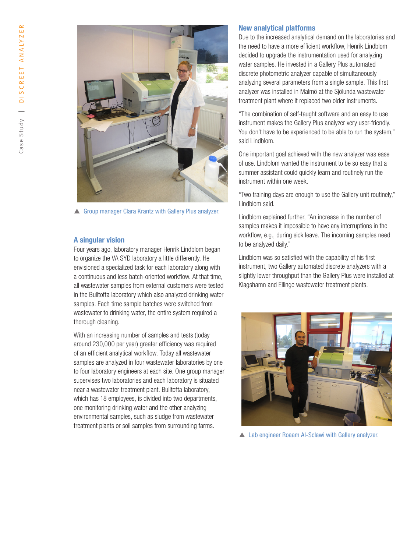

**A** Group manager Clara Krantz with Gallery Plus analyzer.

# A singular vision

Four years ago, laboratory manager Henrik Lindblom began to organize the VA SYD laboratory a little differently. He envisioned a specialized task for each laboratory along with a continuous and less batch-oriented workflow. At that time, all wastewater samples from external customers were tested in the Bulltofta laboratory which also analyzed drinking water samples. Each time sample batches were switched from wastewater to drinking water, the entire system required a thorough cleaning.

With an increasing number of samples and tests (today around 230,000 per year) greater efficiency was required of an efficient analytical workflow. Today all wastewater samples are analyzed in four wastewater laboratories by one to four laboratory engineers at each site. One group manager supervises two laboratories and each laboratory is situated near a wastewater treatment plant. Bulltofta laboratory, which has 18 employees, is divided into two departments, one monitoring drinking water and the other analyzing environmental samples, such as sludge from wastewater treatment plants or soil samples from surrounding farms.

#### New analytical platforms

Due to the increased analytical demand on the laboratories and the need to have a more efficient workflow, Henrik Lindblom decided to upgrade the instrumentation used for analyzing water samples. He invested in a Gallery Plus automated discrete photometric analyzer capable of simultaneously analyzing several parameters from a single sample. This first analyzer was installed in Malmö at the Sjölunda wastewater treatment plant where it replaced two older instruments.

"The combination of self-taught software and an easy to use instrument makes the Gallery Plus analyzer very user-friendly. You don't have to be experienced to be able to run the system," said Lindblom.

One important goal achieved with the new analyzer was ease of use. Lindblom wanted the instrument to be so easy that a summer assistant could quickly learn and routinely run the instrument within one week.

"Two training days are enough to use the Gallery unit routinely," Lindblom said.

Lindblom explained further, "An increase in the number of samples makes it impossible to have any interruptions in the workflow, e.g., during sick leave. The incoming samples need to be analyzed daily."

Lindblom was so satisfied with the capability of his first instrument, two Gallery automated discrete analyzers with a slightly lower throughput than the Gallery Plus were installed at Klagshamn and Ellinge wastewater treatment plants.



▲ Lab engineer Roaam Al-Sclawi with Gallery analyzer.